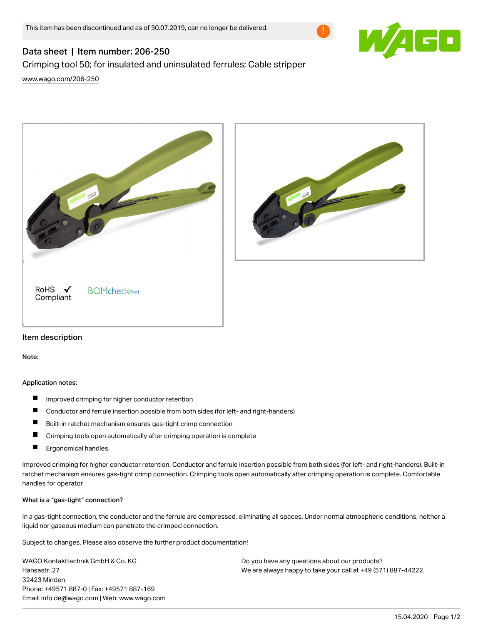

# Data sheet | Item number: 206-250

# Crimping tool 50; for insulated and uninsulated ferrules; Cable stripper

[www.wago.com/206-250](http://www.wago.com/206-250)





## Item description

Note:

#### Application notes:

- $\blacksquare$ Improved crimping for higher conductor retention
- $\blacksquare$ Conductor and ferrule insertion possible from both sides (for left- and right-handers)
- П Built-in ratchet mechanism ensures gas-tight crimp connection
- о Crimping tools open automatically after crimping operation is complete
- П Ergonomical handles.

Improved crimping for higher conductor retention. Conductor and ferrule insertion possible from both sides (for left- and right-handers). Built-in ratchet mechanism ensures gas-tight crimp connection. Crimping tools open automatically after crimping operation is complete. Comfortable handles for operator

#### What is a "gas-tight" connection?

In a gas-tight connection, the conductor and the ferrule are compressed, eliminating all spaces. Under normal atmospheric conditions, neither a liquid nor gaseous medium can penetrate the crimped connection.

Subject to changes. Please also observe the further product documentation!

WAGO Kontakttechnik GmbH & Co. KG Hansastr. 27 32423 Minden Phone: +49571 887-0 | Fax: +49571 887-169 Email: info.de@wago.com | Web: www.wago.com Do you have any questions about our products? We are always happy to take your call at +49 (571) 887-44222.